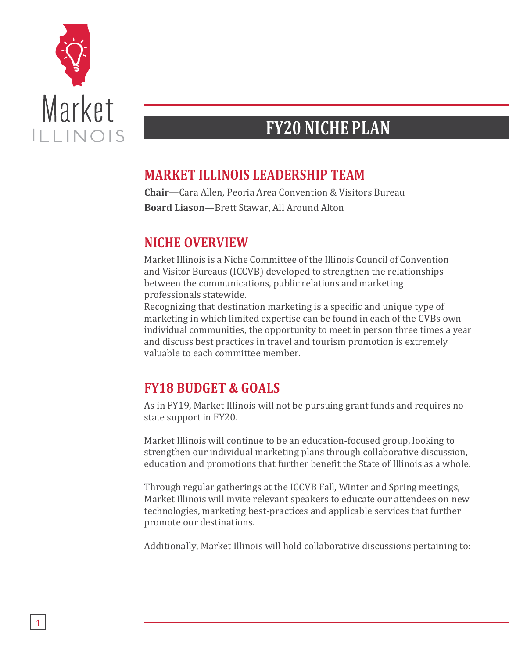

## **FY20 NICHE PLAN**

## **MARKET ILLINOIS LEADERSHIP TEAM**

**Chair**—Cara Allen, Peoria Area Convention & Visitors Bureau **Board Liason**—Brett Stawar, All Around Alton

## **NICHE OVERVIEW**

Market Illinois is a Niche Committee of the Illinois Council of Convention and Visitor Bureaus (ICCVB) developed to strengthen the relationships between the communications, public relations and marketing professionals statewide.

Recognizing that destination marketing is a specific and unique type of marketing in which limited expertise can be found in each of the CVBs own individual communities, the opportunity to meet in person three times a year and discuss best practices in travel and tourism promotion is extremely valuable to each committee member.

## **FY18 BUDGET & GOALS**

As in FY19, Market Illinois will not be pursuing grant funds and requires no state support in FY20.

Market Illinois will continue to be an education-focused group, looking to strengthen our individual marketing plans through collaborative discussion, education and promotions that further benefit the State of Illinois as a whole.

Through regular gatherings at the ICCVB Fall, Winter and Spring meetings, Market Illinois will invite relevant speakers to educate our attendees on new technologies, marketing best-practices and applicable services that further promote our destinations.

Additionally, Market Illinois will hold collaborative discussions pertaining to: